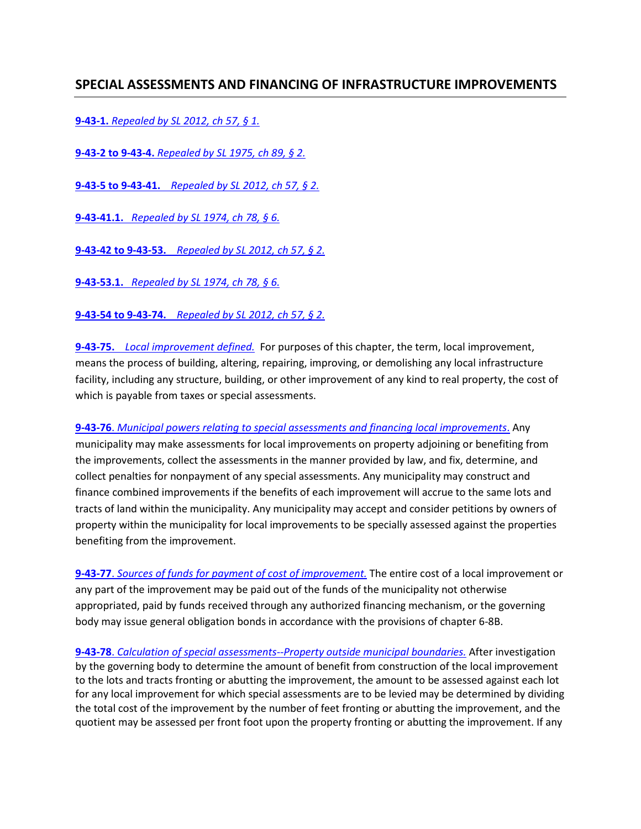## **SPECIAL ASSESSMENTS AND FINANCING OF INFRASTRUCTURE IMPROVEMENTS**

**9-43-1.** *[Repealed by SL 2012, ch 57, § 1.](http://sdlegislature.gov/Statutes/Codified_Laws/DisplayStatute.aspx?Type=Statute&Statute=9-43-1)*

**9-43-2 to 9-43-4.** *[Repealed by SL 1975, ch 89, § 2.](http://sdlegislature.gov/Statutes/Codified_Laws/DisplayStatute.aspx?Type=Statute&Statute=9-43-2)*

**9-43-5 to 9-43-41.** *[Repealed by SL 2012, ch 57, § 2.](http://sdlegislature.gov/Statutes/Codified_Laws/DisplayStatute.aspx?Type=Statute&Statute=9-43-5)*

**9-43-41.1.** *[Repealed by SL 1974, ch 78, § 6.](http://sdlegislature.gov/Statutes/Codified_Laws/DisplayStatute.aspx?Type=Statute&Statute=9-43-41.1)*

**9-43-42 to 9-43-53.** *[Repealed by SL 2012, ch 57, § 2.](http://sdlegislature.gov/Statutes/Codified_Laws/DisplayStatute.aspx?Type=Statute&Statute=9-43-42)*

**9-43-53.1.** *[Repealed by SL 1974, ch 78, § 6.](http://sdlegislature.gov/Statutes/Codified_Laws/DisplayStatute.aspx?Type=Statute&Statute=9-43-53.1)*

**9-43-54 to 9-43-74.** *[Repealed by SL 2012, ch 57, § 2.](http://sdlegislature.gov/Statutes/Codified_Laws/DisplayStatute.aspx?Type=Statute&Statute=9-43-54)*

**9-43-75.** *[Local improvement defined.](http://sdlegislature.gov/Statutes/Codified_Laws/DisplayStatute.aspx?Type=Statute&Statute=9-43-75)* For purposes of this chapter, the term, local improvement, means the process of building, altering, repairing, improving, or demolishing any local infrastructure facility, including any structure, building, or other improvement of any kind to real property, the cost of which is payable from taxes or special assessments.

**9-43-76**. *[Municipal powers relating to special assessments and financing local improvements](http://sdlegislature.gov/Statutes/Codified_Laws/DisplayStatute.aspx?Type=Statute&Statute=9-43-76)*. Any municipality may make assessments for local improvements on property adjoining or benefiting from the improvements, collect the assessments in the manner provided by law, and fix, determine, and collect penalties for nonpayment of any special assessments. Any municipality may construct and finance combined improvements if the benefits of each improvement will accrue to the same lots and tracts of land within the municipality. Any municipality may accept and consider petitions by owners of property within the municipality for local improvements to be specially assessed against the properties benefiting from the improvement.

**9-43-77**. *[Sources of funds for payment of cost of improvement.](http://sdlegislature.gov/Statutes/Codified_Laws/DisplayStatute.aspx?Type=Statute&Statute=9-43-77)* The entire cost of a local improvement or any part of the improvement may be paid out of the funds of the municipality not otherwise appropriated, paid by funds received through any authorized financing mechanism, or the governing body may issue general obligation bonds in accordance with the provisions of chapter 6-8B.

**9-43-78**. *[Calculation of special assessments--Property outside municipal boundaries.](http://sdlegislature.gov/Statutes/Codified_Laws/DisplayStatute.aspx?Type=Statute&Statute=9-43-78)* After investigation by the governing body to determine the amount of benefit from construction of the local improvement to the lots and tracts fronting or abutting the improvement, the amount to be assessed against each lot for any local improvement for which special assessments are to be levied may be determined by dividing the total cost of the improvement by the number of feet fronting or abutting the improvement, and the quotient may be assessed per front foot upon the property fronting or abutting the improvement. If any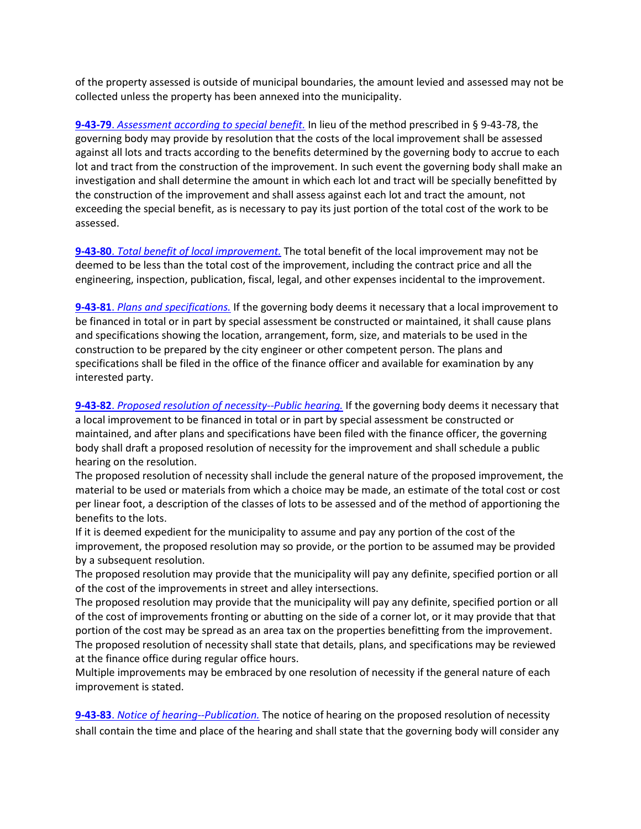of the property assessed is outside of municipal boundaries, the amount levied and assessed may not be collected unless the property has been annexed into the municipality.

**9-43-79**. *[Assessment according to special benefit.](http://sdlegislature.gov/Statutes/Codified_Laws/DisplayStatute.aspx?Type=Statute&Statute=9-43-79)* In lieu of the method prescribed in § 9-43-78, the governing body may provide by resolution that the costs of the local improvement shall be assessed against all lots and tracts according to the benefits determined by the governing body to accrue to each lot and tract from the construction of the improvement. In such event the governing body shall make an investigation and shall determine the amount in which each lot and tract will be specially benefitted by the construction of the improvement and shall assess against each lot and tract the amount, not exceeding the special benefit, as is necessary to pay its just portion of the total cost of the work to be assessed.

**9-43-80**. *[Total benefit of local improvement.](http://sdlegislature.gov/Statutes/Codified_Laws/DisplayStatute.aspx?Type=Statute&Statute=9-43-80)* The total benefit of the local improvement may not be deemed to be less than the total cost of the improvement, including the contract price and all the engineering, inspection, publication, fiscal, legal, and other expenses incidental to the improvement.

**9-43-81**. *[Plans and specifications.](http://sdlegislature.gov/Statutes/Codified_Laws/DisplayStatute.aspx?Type=Statute&Statute=9-43-81)* If the governing body deems it necessary that a local improvement to be financed in total or in part by special assessment be constructed or maintained, it shall cause plans and specifications showing the location, arrangement, form, size, and materials to be used in the construction to be prepared by the city engineer or other competent person. The plans and specifications shall be filed in the office of the finance officer and available for examination by any interested party.

**9-43-82**. *[Proposed resolution of necessity--Public hearing.](http://sdlegislature.gov/Statutes/Codified_Laws/DisplayStatute.aspx?Type=Statute&Statute=9-43-82)* If the governing body deems it necessary that a local improvement to be financed in total or in part by special assessment be constructed or maintained, and after plans and specifications have been filed with the finance officer, the governing body shall draft a proposed resolution of necessity for the improvement and shall schedule a public hearing on the resolution.

The proposed resolution of necessity shall include the general nature of the proposed improvement, the material to be used or materials from which a choice may be made, an estimate of the total cost or cost per linear foot, a description of the classes of lots to be assessed and of the method of apportioning the benefits to the lots.

If it is deemed expedient for the municipality to assume and pay any portion of the cost of the improvement, the proposed resolution may so provide, or the portion to be assumed may be provided by a subsequent resolution.

The proposed resolution may provide that the municipality will pay any definite, specified portion or all of the cost of the improvements in street and alley intersections.

The proposed resolution may provide that the municipality will pay any definite, specified portion or all of the cost of improvements fronting or abutting on the side of a corner lot, or it may provide that that portion of the cost may be spread as an area tax on the properties benefitting from the improvement. The proposed resolution of necessity shall state that details, plans, and specifications may be reviewed at the finance office during regular office hours.

Multiple improvements may be embraced by one resolution of necessity if the general nature of each improvement is stated.

**9-43-83**. *[Notice of hearing--Publication.](http://sdlegislature.gov/Statutes/Codified_Laws/DisplayStatute.aspx?Type=Statute&Statute=9-43-83)* The notice of hearing on the proposed resolution of necessity shall contain the time and place of the hearing and shall state that the governing body will consider any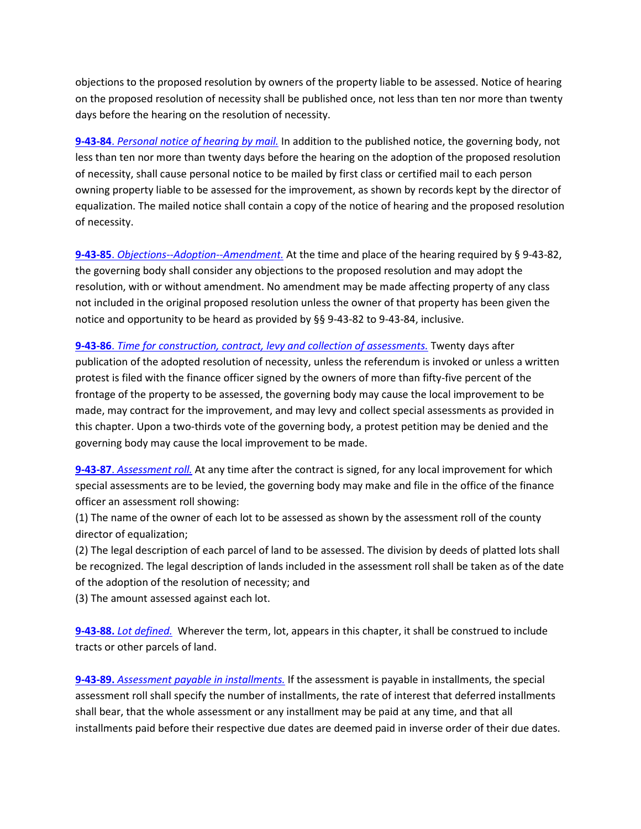objections to the proposed resolution by owners of the property liable to be assessed. Notice of hearing on the proposed resolution of necessity shall be published once, not less than ten nor more than twenty days before the hearing on the resolution of necessity.

**9-43-84**. *[Personal notice of hearing by mail.](http://sdlegislature.gov/Statutes/Codified_Laws/DisplayStatute.aspx?Type=Statute&Statute=9-43-84)* In addition to the published notice, the governing body, not less than ten nor more than twenty days before the hearing on the adoption of the proposed resolution of necessity, shall cause personal notice to be mailed by first class or certified mail to each person owning property liable to be assessed for the improvement, as shown by records kept by the director of equalization. The mailed notice shall contain a copy of the notice of hearing and the proposed resolution of necessity.

**9-43-85**. *[Objections--Adoption--Amendment.](http://sdlegislature.gov/Statutes/Codified_Laws/DisplayStatute.aspx?Type=Statute&Statute=9-43-85)* At the time and place of the hearing required by § 9-43-82, the governing body shall consider any objections to the proposed resolution and may adopt the resolution, with or without amendment. No amendment may be made affecting property of any class not included in the original proposed resolution unless the owner of that property has been given the notice and opportunity to be heard as provided by §§ 9-43-82 to 9-43-84, inclusive.

**9-43-86**. *[Time for construction, contract, levy and collection of assessments.](http://sdlegislature.gov/Statutes/Codified_Laws/DisplayStatute.aspx?Type=Statute&Statute=9-43-86)* Twenty days after publication of the adopted resolution of necessity, unless the referendum is invoked or unless a written protest is filed with the finance officer signed by the owners of more than fifty-five percent of the frontage of the property to be assessed, the governing body may cause the local improvement to be made, may contract for the improvement, and may levy and collect special assessments as provided in this chapter. Upon a two-thirds vote of the governing body, a protest petition may be denied and the governing body may cause the local improvement to be made.

**9-43-87**. *[Assessment roll.](http://sdlegislature.gov/Statutes/Codified_Laws/DisplayStatute.aspx?Type=Statute&Statute=9-43-87)* At any time after the contract is signed, for any local improvement for which special assessments are to be levied, the governing body may make and file in the office of the finance officer an assessment roll showing:

(1) The name of the owner of each lot to be assessed as shown by the assessment roll of the county director of equalization;

(2) The legal description of each parcel of land to be assessed. The division by deeds of platted lots shall be recognized. The legal description of lands included in the assessment roll shall be taken as of the date of the adoption of the resolution of necessity; and

(3) The amount assessed against each lot.

**9-43-88.** *[Lot defined.](http://sdlegislature.gov/Statutes/Codified_Laws/DisplayStatute.aspx?Type=Statute&Statute=9-43-88)* Wherever the term, lot, appears in this chapter, it shall be construed to include tracts or other parcels of land.

**9-43-89.** *[Assessment payable in installments.](http://sdlegislature.gov/Statutes/Codified_Laws/DisplayStatute.aspx?Type=Statute&Statute=9-43-89)* If the assessment is payable in installments, the special assessment roll shall specify the number of installments, the rate of interest that deferred installments shall bear, that the whole assessment or any installment may be paid at any time, and that all installments paid before their respective due dates are deemed paid in inverse order of their due dates.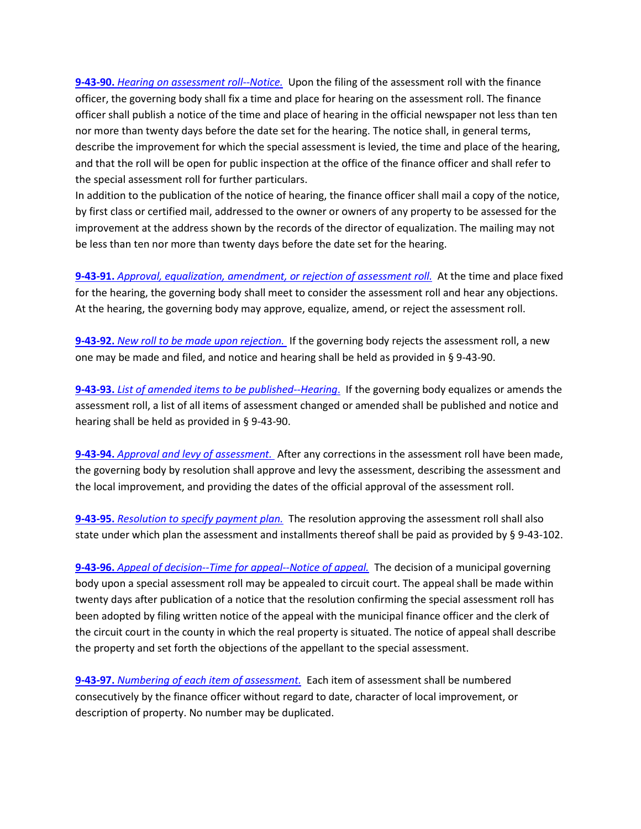**9-43-90.** *[Hearing on assessment roll--Notice.](http://sdlegislature.gov/Statutes/Codified_Laws/DisplayStatute.aspx?Type=Statute&Statute=9-43-90)* Upon the filing of the assessment roll with the finance officer, the governing body shall fix a time and place for hearing on the assessment roll. The finance officer shall publish a notice of the time and place of hearing in the official newspaper not less than ten nor more than twenty days before the date set for the hearing. The notice shall, in general terms, describe the improvement for which the special assessment is levied, the time and place of the hearing, and that the roll will be open for public inspection at the office of the finance officer and shall refer to the special assessment roll for further particulars.

In addition to the publication of the notice of hearing, the finance officer shall mail a copy of the notice, by first class or certified mail, addressed to the owner or owners of any property to be assessed for the improvement at the address shown by the records of the director of equalization. The mailing may not be less than ten nor more than twenty days before the date set for the hearing.

**9-43-91.** *[Approval, equalization, amendment, or rejection of assessment roll.](http://sdlegislature.gov/Statutes/Codified_Laws/DisplayStatute.aspx?Type=Statute&Statute=9-43-91)* At the time and place fixed for the hearing, the governing body shall meet to consider the assessment roll and hear any objections. At the hearing, the governing body may approve, equalize, amend, or reject the assessment roll.

**9-43-92.** *[New roll to be made upon rejection.](http://sdlegislature.gov/Statutes/Codified_Laws/DisplayStatute.aspx?Type=Statute&Statute=9-43-92)* If the governing body rejects the assessment roll, a new one may be made and filed, and notice and hearing shall be held as provided in § 9-43-90.

**9-43-93.** *[List of amended items to be published--Hearing](http://sdlegislature.gov/Statutes/Codified_Laws/DisplayStatute.aspx?Type=Statute&Statute=9-43-93)*. If the governing body equalizes or amends the assessment roll, a list of all items of assessment changed or amended shall be published and notice and hearing shall be held as provided in § 9-43-90.

**9-43-94.** *[Approval and levy of assessment.](http://sdlegislature.gov/Statutes/Codified_Laws/DisplayStatute.aspx?Type=Statute&Statute=9-43-94)* After any corrections in the assessment roll have been made, the governing body by resolution shall approve and levy the assessment, describing the assessment and the local improvement, and providing the dates of the official approval of the assessment roll.

**9-43-95.** *[Resolution to specify payment plan.](http://sdlegislature.gov/Statutes/Codified_Laws/DisplayStatute.aspx?Type=Statute&Statute=9-43-95)* The resolution approving the assessment roll shall also state under which plan the assessment and installments thereof shall be paid as provided by § 9-43-102.

**9-43-96.** *[Appeal of decision--Time for appeal--Notice of appeal.](http://sdlegislature.gov/Statutes/Codified_Laws/DisplayStatute.aspx?Type=Statute&Statute=9-43-96)* The decision of a municipal governing body upon a special assessment roll may be appealed to circuit court. The appeal shall be made within twenty days after publication of a notice that the resolution confirming the special assessment roll has been adopted by filing written notice of the appeal with the municipal finance officer and the clerk of the circuit court in the county in which the real property is situated. The notice of appeal shall describe the property and set forth the objections of the appellant to the special assessment.

**9-43-97.** *[Numbering of each item of assessment.](http://sdlegislature.gov/Statutes/Codified_Laws/DisplayStatute.aspx?Type=Statute&Statute=9-43-97)* Each item of assessment shall be numbered consecutively by the finance officer without regard to date, character of local improvement, or description of property. No number may be duplicated.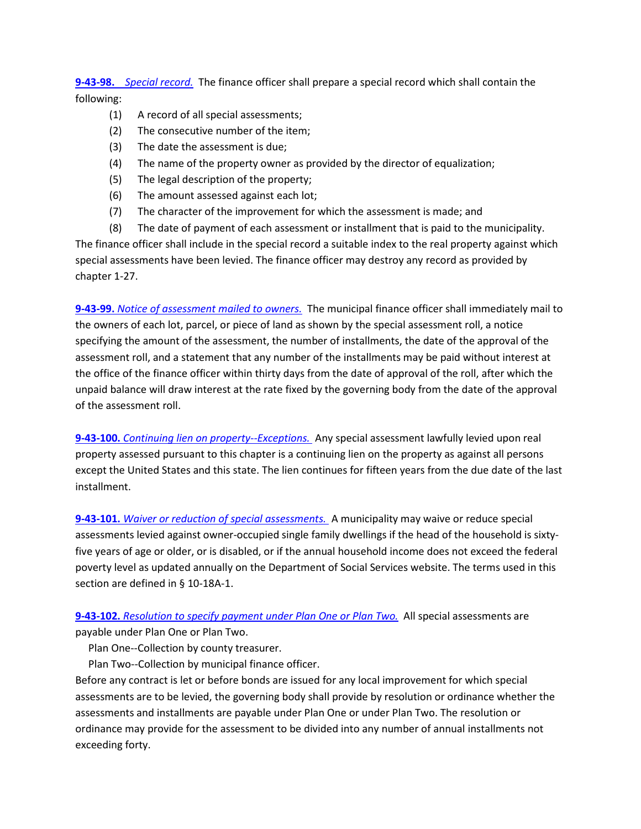**9-43-98.** *[Special record.](http://sdlegislature.gov/Statutes/Codified_Laws/DisplayStatute.aspx?Type=Statute&Statute=9-43-98)* The finance officer shall prepare a special record which shall contain the following:

- (1) A record of all special assessments;
- (2) The consecutive number of the item;
- (3) The date the assessment is due;
- (4) The name of the property owner as provided by the director of equalization;
- (5) The legal description of the property;
- (6) The amount assessed against each lot;
- (7) The character of the improvement for which the assessment is made; and
- (8) The date of payment of each assessment or installment that is paid to the municipality.

The finance officer shall include in the special record a suitable index to the real property against which special assessments have been levied. The finance officer may destroy any record as provided by chapter 1-27.

**9-43-99.** *[Notice of assessment mailed to owners.](http://sdlegislature.gov/Statutes/Codified_Laws/DisplayStatute.aspx?Type=Statute&Statute=9-43-99)* The municipal finance officer shall immediately mail to the owners of each lot, parcel, or piece of land as shown by the special assessment roll, a notice specifying the amount of the assessment, the number of installments, the date of the approval of the assessment roll, and a statement that any number of the installments may be paid without interest at the office of the finance officer within thirty days from the date of approval of the roll, after which the unpaid balance will draw interest at the rate fixed by the governing body from the date of the approval of the assessment roll.

**9-43-100.** *[Continuing lien on property--Exceptions.](http://sdlegislature.gov/Statutes/Codified_Laws/DisplayStatute.aspx?Type=Statute&Statute=9-43-100)* Any special assessment lawfully levied upon real property assessed pursuant to this chapter is a continuing lien on the property as against all persons except the United States and this state. The lien continues for fifteen years from the due date of the last installment.

**9-43-101.** *[Waiver or reduction of special assessments.](http://sdlegislature.gov/Statutes/Codified_Laws/DisplayStatute.aspx?Type=Statute&Statute=9-43-101)* A municipality may waive or reduce special assessments levied against owner-occupied single family dwellings if the head of the household is sixtyfive years of age or older, or is disabled, or if the annual household income does not exceed the federal poverty level as updated annually on the Department of Social Services website. The terms used in this section are defined in § 10-18A-1.

**9-43-102.** *[Resolution to specify payment under Plan One or Plan Two.](http://sdlegislature.gov/Statutes/Codified_Laws/DisplayStatute.aspx?Type=Statute&Statute=9-43-102)* All special assessments are payable under Plan One or Plan Two.

Plan One--Collection by county treasurer.

Plan Two--Collection by municipal finance officer.

Before any contract is let or before bonds are issued for any local improvement for which special assessments are to be levied, the governing body shall provide by resolution or ordinance whether the assessments and installments are payable under Plan One or under Plan Two. The resolution or ordinance may provide for the assessment to be divided into any number of annual installments not exceeding forty.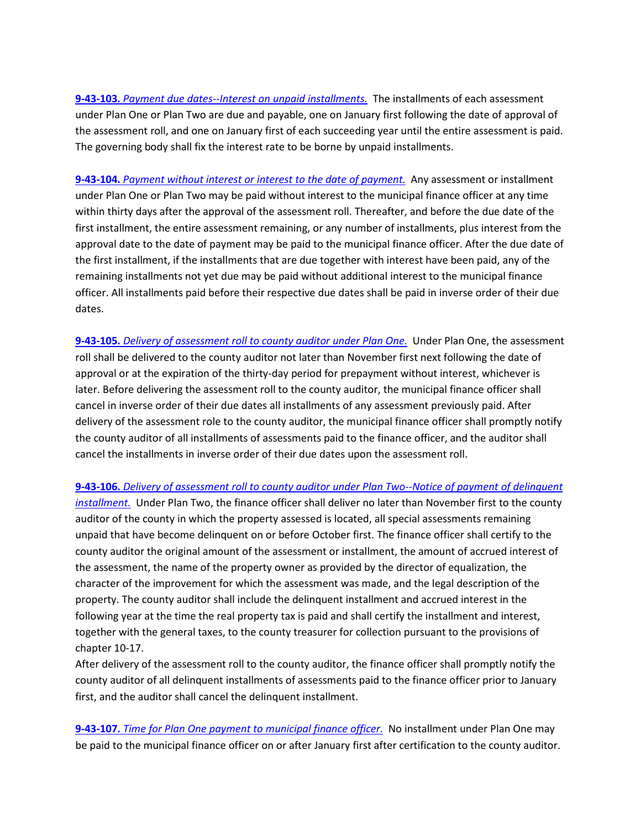**9-43-103.** *[Payment due dates--Interest on unpaid installments.](http://sdlegislature.gov/Statutes/Codified_Laws/DisplayStatute.aspx?Type=Statute&Statute=9-43-103)* The installments of each assessment under Plan One or Plan Two are due and payable, one on January first following the date of approval of the assessment roll, and one on January first of each succeeding year until the entire assessment is paid. The governing body shall fix the interest rate to be borne by unpaid installments.

**9-43-104.** *[Payment without interest or interest to the date of payment.](http://sdlegislature.gov/Statutes/Codified_Laws/DisplayStatute.aspx?Type=Statute&Statute=9-43-104)* Any assessment or installment under Plan One or Plan Two may be paid without interest to the municipal finance officer at any time within thirty days after the approval of the assessment roll. Thereafter, and before the due date of the first installment, the entire assessment remaining, or any number of installments, plus interest from the approval date to the date of payment may be paid to the municipal finance officer. After the due date of the first installment, if the installments that are due together with interest have been paid, any of the remaining installments not yet due may be paid without additional interest to the municipal finance officer. All installments paid before their respective due dates shall be paid in inverse order of their due dates.

**9-43-105.** *[Delivery of assessment roll to county auditor under Plan One.](http://sdlegislature.gov/Statutes/Codified_Laws/DisplayStatute.aspx?Type=Statute&Statute=9-43-105)* Under Plan One, the assessment roll shall be delivered to the county auditor not later than November first next following the date of approval or at the expiration of the thirty-day period for prepayment without interest, whichever is later. Before delivering the assessment roll to the county auditor, the municipal finance officer shall cancel in inverse order of their due dates all installments of any assessment previously paid. After delivery of the assessment role to the county auditor, the municipal finance officer shall promptly notify the county auditor of all installments of assessments paid to the finance officer, and the auditor shall cancel the installments in inverse order of their due dates upon the assessment roll.

**9-43-106.** *[Delivery of assessment roll to county auditor under Plan Two--Notice of payment of delinquent](http://sdlegislature.gov/Statutes/Codified_Laws/DisplayStatute.aspx?Type=Statute&Statute=9-43-106)  [installment.](http://sdlegislature.gov/Statutes/Codified_Laws/DisplayStatute.aspx?Type=Statute&Statute=9-43-106)* Under Plan Two, the finance officer shall deliver no later than November first to the county auditor of the county in which the property assessed is located, all special assessments remaining unpaid that have become delinquent on or before October first. The finance officer shall certify to the county auditor the original amount of the assessment or installment, the amount of accrued interest of the assessment, the name of the property owner as provided by the director of equalization, the character of the improvement for which the assessment was made, and the legal description of the property. The county auditor shall include the delinquent installment and accrued interest in the following year at the time the real property tax is paid and shall certify the installment and interest, together with the general taxes, to the county treasurer for collection pursuant to the provisions of chapter 10-17.

After delivery of the assessment roll to the county auditor, the finance officer shall promptly notify the county auditor of all delinquent installments of assessments paid to the finance officer prior to January first, and the auditor shall cancel the delinquent installment.

**9-43-107.** *[Time for Plan One payment to municipal finance officer.](http://sdlegislature.gov/Statutes/Codified_Laws/DisplayStatute.aspx?Type=Statute&Statute=9-43-107)* No installment under Plan One may be paid to the municipal finance officer on or after January first after certification to the county auditor.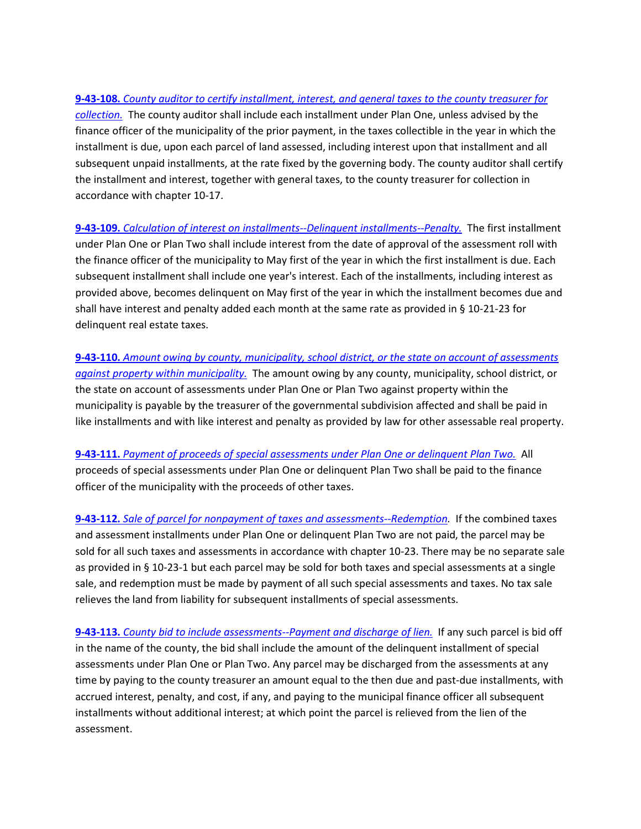## **9-43-108.** *[County auditor to certify installment, interest, and general taxes to the county treasurer for](http://sdlegislature.gov/Statutes/Codified_Laws/DisplayStatute.aspx?Type=Statute&Statute=9-43-108)*

*[collection.](http://sdlegislature.gov/Statutes/Codified_Laws/DisplayStatute.aspx?Type=Statute&Statute=9-43-108)* The county auditor shall include each installment under Plan One, unless advised by the finance officer of the municipality of the prior payment, in the taxes collectible in the year in which the installment is due, upon each parcel of land assessed, including interest upon that installment and all subsequent unpaid installments, at the rate fixed by the governing body. The county auditor shall certify the installment and interest, together with general taxes, to the county treasurer for collection in accordance with chapter 10-17.

**9-43-109.** *[Calculation of interest on installments--Delinquent installments--Penalty.](http://sdlegislature.gov/Statutes/Codified_Laws/DisplayStatute.aspx?Type=Statute&Statute=9-43-109)* The first installment under Plan One or Plan Two shall include interest from the date of approval of the assessment roll with the finance officer of the municipality to May first of the year in which the first installment is due. Each subsequent installment shall include one year's interest. Each of the installments, including interest as provided above, becomes delinquent on May first of the year in which the installment becomes due and shall have interest and penalty added each month at the same rate as provided in § 10-21-23 for delinquent real estate taxes.

**9-43-110.** *[Amount owing by county, municipality, school district, or the state on account of assessments](http://sdlegislature.gov/Statutes/Codified_Laws/DisplayStatute.aspx?Type=Statute&Statute=9-43-110)  [against property within municipality.](http://sdlegislature.gov/Statutes/Codified_Laws/DisplayStatute.aspx?Type=Statute&Statute=9-43-110)* The amount owing by any county, municipality, school district, or the state on account of assessments under Plan One or Plan Two against property within the municipality is payable by the treasurer of the governmental subdivision affected and shall be paid in like installments and with like interest and penalty as provided by law for other assessable real property.

**9-43-111.** *[Payment of proceeds of special assessments under Plan One or delinquent Plan Two.](http://sdlegislature.gov/Statutes/Codified_Laws/DisplayStatute.aspx?Type=Statute&Statute=9-43-111)* All proceeds of special assessments under Plan One or delinquent Plan Two shall be paid to the finance officer of the municipality with the proceeds of other taxes.

**9-43-112.** *[Sale of parcel for nonpayment of taxes and assessments--Redemption.](http://sdlegislature.gov/Statutes/Codified_Laws/DisplayStatute.aspx?Type=Statute&Statute=9-43-112)* If the combined taxes and assessment installments under Plan One or delinquent Plan Two are not paid, the parcel may be sold for all such taxes and assessments in accordance with chapter 10-23. There may be no separate sale as provided in § 10-23-1 but each parcel may be sold for both taxes and special assessments at a single sale, and redemption must be made by payment of all such special assessments and taxes. No tax sale relieves the land from liability for subsequent installments of special assessments.

**9-43-113.** *[County bid to include assessments--Payment and discharge of lien.](http://sdlegislature.gov/Statutes/Codified_Laws/DisplayStatute.aspx?Type=Statute&Statute=9-43-113)* If any such parcel is bid off in the name of the county, the bid shall include the amount of the delinquent installment of special assessments under Plan One or Plan Two. Any parcel may be discharged from the assessments at any time by paying to the county treasurer an amount equal to the then due and past-due installments, with accrued interest, penalty, and cost, if any, and paying to the municipal finance officer all subsequent installments without additional interest; at which point the parcel is relieved from the lien of the assessment.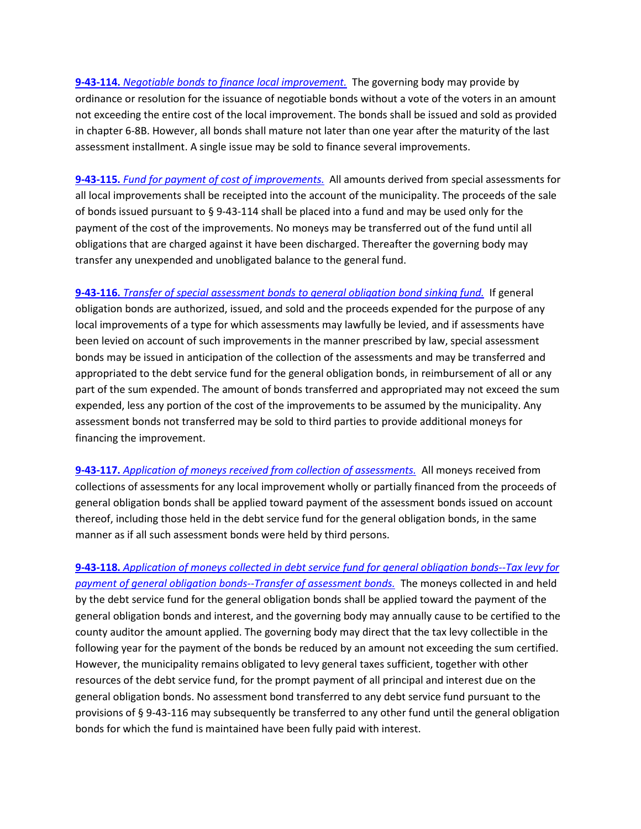**9-43-114.** *[Negotiable bonds to finance local improvement.](http://sdlegislature.gov/Statutes/Codified_Laws/DisplayStatute.aspx?Type=Statute&Statute=9-43-114)* The governing body may provide by ordinance or resolution for the issuance of negotiable bonds without a vote of the voters in an amount not exceeding the entire cost of the local improvement. The bonds shall be issued and sold as provided in chapter 6-8B. However, all bonds shall mature not later than one year after the maturity of the last assessment installment. A single issue may be sold to finance several improvements.

**9-43-115.** *[Fund for payment of cost of improvements.](http://sdlegislature.gov/Statutes/Codified_Laws/DisplayStatute.aspx?Type=Statute&Statute=9-43-115)* All amounts derived from special assessments for all local improvements shall be receipted into the account of the municipality. The proceeds of the sale of bonds issued pursuant to § 9-43-114 shall be placed into a fund and may be used only for the payment of the cost of the improvements. No moneys may be transferred out of the fund until all obligations that are charged against it have been discharged. Thereafter the governing body may transfer any unexpended and unobligated balance to the general fund.

**9-43-116.** *[Transfer of special assessment bonds to general obligation bond sinking fund.](http://sdlegislature.gov/Statutes/Codified_Laws/DisplayStatute.aspx?Type=Statute&Statute=9-43-116)* If general obligation bonds are authorized, issued, and sold and the proceeds expended for the purpose of any local improvements of a type for which assessments may lawfully be levied, and if assessments have been levied on account of such improvements in the manner prescribed by law, special assessment bonds may be issued in anticipation of the collection of the assessments and may be transferred and appropriated to the debt service fund for the general obligation bonds, in reimbursement of all or any part of the sum expended. The amount of bonds transferred and appropriated may not exceed the sum expended, less any portion of the cost of the improvements to be assumed by the municipality. Any assessment bonds not transferred may be sold to third parties to provide additional moneys for financing the improvement.

**9-43-117.** *[Application of moneys received from collection of assessments.](http://sdlegislature.gov/Statutes/Codified_Laws/DisplayStatute.aspx?Type=Statute&Statute=9-43-117)* All moneys received from collections of assessments for any local improvement wholly or partially financed from the proceeds of general obligation bonds shall be applied toward payment of the assessment bonds issued on account thereof, including those held in the debt service fund for the general obligation bonds, in the same manner as if all such assessment bonds were held by third persons.

**9-43-118.** *[Application of moneys collected in debt service fund](http://sdlegislature.gov/Statutes/Codified_Laws/DisplayStatute.aspx?Type=Statute&Statute=9-43-118) for general obligation bonds--Tax levy for [payment of general obligation bonds--Transfer of assessment bonds.](http://sdlegislature.gov/Statutes/Codified_Laws/DisplayStatute.aspx?Type=Statute&Statute=9-43-118)* The moneys collected in and held by the debt service fund for the general obligation bonds shall be applied toward the payment of the general obligation bonds and interest, and the governing body may annually cause to be certified to the county auditor the amount applied. The governing body may direct that the tax levy collectible in the following year for the payment of the bonds be reduced by an amount not exceeding the sum certified. However, the municipality remains obligated to levy general taxes sufficient, together with other resources of the debt service fund, for the prompt payment of all principal and interest due on the general obligation bonds. No assessment bond transferred to any debt service fund pursuant to the provisions of § 9-43-116 may subsequently be transferred to any other fund until the general obligation bonds for which the fund is maintained have been fully paid with interest.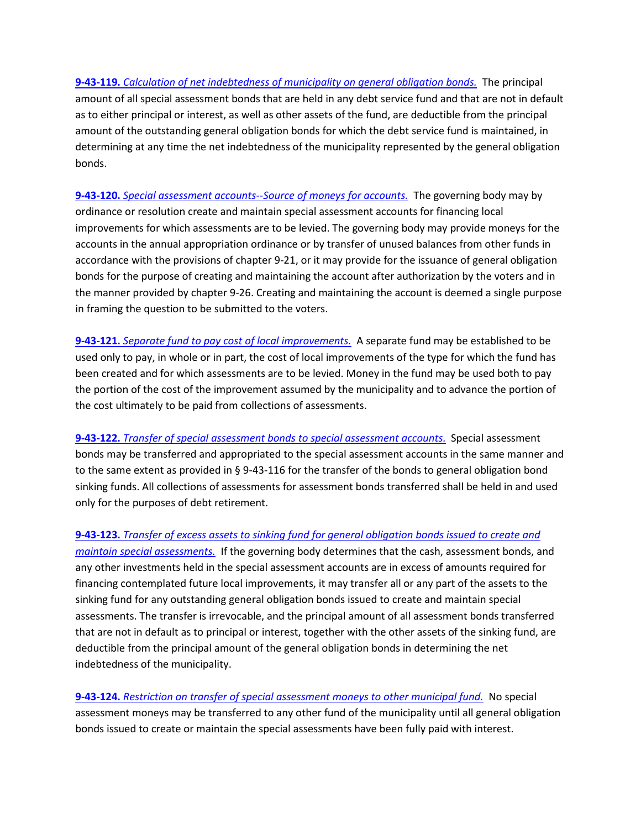**9-43-119.** *[Calculation of net indebtedness of municipality on general obligation bonds.](http://sdlegislature.gov/Statutes/Codified_Laws/DisplayStatute.aspx?Type=Statute&Statute=9-43-119)* The principal amount of all special assessment bonds that are held in any debt service fund and that are not in default as to either principal or interest, as well as other assets of the fund, are deductible from the principal amount of the outstanding general obligation bonds for which the debt service fund is maintained, in determining at any time the net indebtedness of the municipality represented by the general obligation bonds.

**9-43-120.** *[Special assessment accounts--Source of moneys for accounts.](http://sdlegislature.gov/Statutes/Codified_Laws/DisplayStatute.aspx?Type=Statute&Statute=9-43-120)* The governing body may by ordinance or resolution create and maintain special assessment accounts for financing local improvements for which assessments are to be levied. The governing body may provide moneys for the accounts in the annual appropriation ordinance or by transfer of unused balances from other funds in accordance with the provisions of chapter 9-21, or it may provide for the issuance of general obligation bonds for the purpose of creating and maintaining the account after authorization by the voters and in the manner provided by chapter 9-26. Creating and maintaining the account is deemed a single purpose in framing the question to be submitted to the voters.

**9-43-121.** *[Separate fund to pay cost of local improvements.](http://sdlegislature.gov/Statutes/Codified_Laws/DisplayStatute.aspx?Type=Statute&Statute=9-43-121)* A separate fund may be established to be used only to pay, in whole or in part, the cost of local improvements of the type for which the fund has been created and for which assessments are to be levied. Money in the fund may be used both to pay the portion of the cost of the improvement assumed by the municipality and to advance the portion of the cost ultimately to be paid from collections of assessments.

**9-43-122.** *[Transfer of special assessment bonds to special assessment accounts.](http://sdlegislature.gov/Statutes/Codified_Laws/DisplayStatute.aspx?Type=Statute&Statute=9-43-122)* Special assessment bonds may be transferred and appropriated to the special assessment accounts in the same manner and to the same extent as provided in § 9-43-116 for the transfer of the bonds to general obligation bond sinking funds. All collections of assessments for assessment bonds transferred shall be held in and used only for the purposes of debt retirement.

**9-43-123.** *[Transfer of excess assets to sinking fund for general obligation bonds issued to create and](http://sdlegislature.gov/Statutes/Codified_Laws/DisplayStatute.aspx?Type=Statute&Statute=9-43-123)  [maintain special assessments.](http://sdlegislature.gov/Statutes/Codified_Laws/DisplayStatute.aspx?Type=Statute&Statute=9-43-123)* If the governing body determines that the cash, assessment bonds, and any other investments held in the special assessment accounts are in excess of amounts required for financing contemplated future local improvements, it may transfer all or any part of the assets to the sinking fund for any outstanding general obligation bonds issued to create and maintain special assessments. The transfer is irrevocable, and the principal amount of all assessment bonds transferred that are not in default as to principal or interest, together with the other assets of the sinking fund, are deductible from the principal amount of the general obligation bonds in determining the net indebtedness of the municipality.

**9-43-124.** *[Restriction on transfer of special assessment moneys to other municipal fund.](http://sdlegislature.gov/Statutes/Codified_Laws/DisplayStatute.aspx?Type=Statute&Statute=9-43-124)* No special assessment moneys may be transferred to any other fund of the municipality until all general obligation bonds issued to create or maintain the special assessments have been fully paid with interest.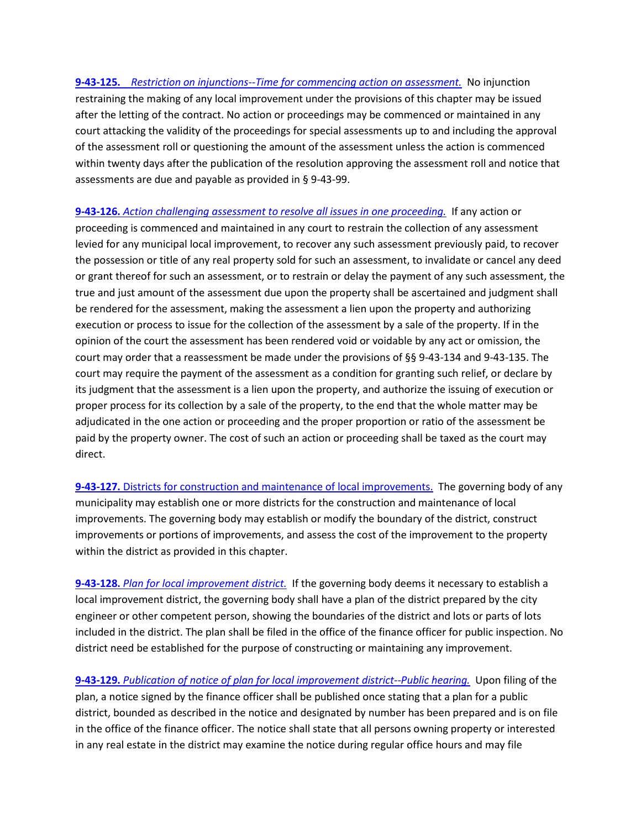**9-43-125.** *[Restriction on injunctions--Time for commencing action on assessment.](http://sdlegislature.gov/Statutes/Codified_Laws/DisplayStatute.aspx?Type=Statute&Statute=9-43-125)* No injunction restraining the making of any local improvement under the provisions of this chapter may be issued after the letting of the contract. No action or proceedings may be commenced or maintained in any court attacking the validity of the proceedings for special assessments up to and including the approval of the assessment roll or questioning the amount of the assessment unless the action is commenced within twenty days after the publication of the resolution approving the assessment roll and notice that assessments are due and payable as provided in § 9-43-99.

**9-43-126.** *[Action challenging assessment to resolve all issues in one proceeding.](http://sdlegislature.gov/Statutes/Codified_Laws/DisplayStatute.aspx?Type=Statute&Statute=9-43-126)* If any action or proceeding is commenced and maintained in any court to restrain the collection of any assessment levied for any municipal local improvement, to recover any such assessment previously paid, to recover the possession or title of any real property sold for such an assessment, to invalidate or cancel any deed or grant thereof for such an assessment, or to restrain or delay the payment of any such assessment, the true and just amount of the assessment due upon the property shall be ascertained and judgment shall be rendered for the assessment, making the assessment a lien upon the property and authorizing execution or process to issue for the collection of the assessment by a sale of the property. If in the opinion of the court the assessment has been rendered void or voidable by any act or omission, the court may order that a reassessment be made under the provisions of §§ 9-43-134 and 9-43-135. The court may require the payment of the assessment as a condition for granting such relief, or declare by its judgment that the assessment is a lien upon the property, and authorize the issuing of execution or proper process for its collection by a sale of the property, to the end that the whole matter may be adjudicated in the one action or proceeding and the proper proportion or ratio of the assessment be paid by the property owner. The cost of such an action or proceeding shall be taxed as the court may direct.

**9-43-127.** Districts for construction and [maintenance of local improvements.](http://sdlegislature.gov/Statutes/Codified_Laws/DisplayStatute.aspx?Type=Statute&Statute=9-43-127) The governing body of any municipality may establish one or more districts for the construction and maintenance of local improvements. The governing body may establish or modify the boundary of the district, construct improvements or portions of improvements, and assess the cost of the improvement to the property within the district as provided in this chapter.

**9-43-128.** *[Plan for local improvement district.](http://sdlegislature.gov/Statutes/Codified_Laws/DisplayStatute.aspx?Type=Statute&Statute=9-43-128)* If the governing body deems it necessary to establish a local improvement district, the governing body shall have a plan of the district prepared by the city engineer or other competent person, showing the boundaries of the district and lots or parts of lots included in the district. The plan shall be filed in the office of the finance officer for public inspection. No district need be established for the purpose of constructing or maintaining any improvement.

**9-43-129.** *[Publication of notice of plan for local improvement district--Public hearing.](http://sdlegislature.gov/Statutes/Codified_Laws/DisplayStatute.aspx?Type=Statute&Statute=9-43-129)* Upon filing of the plan, a notice signed by the finance officer shall be published once stating that a plan for a public district, bounded as described in the notice and designated by number has been prepared and is on file in the office of the finance officer. The notice shall state that all persons owning property or interested in any real estate in the district may examine the notice during regular office hours and may file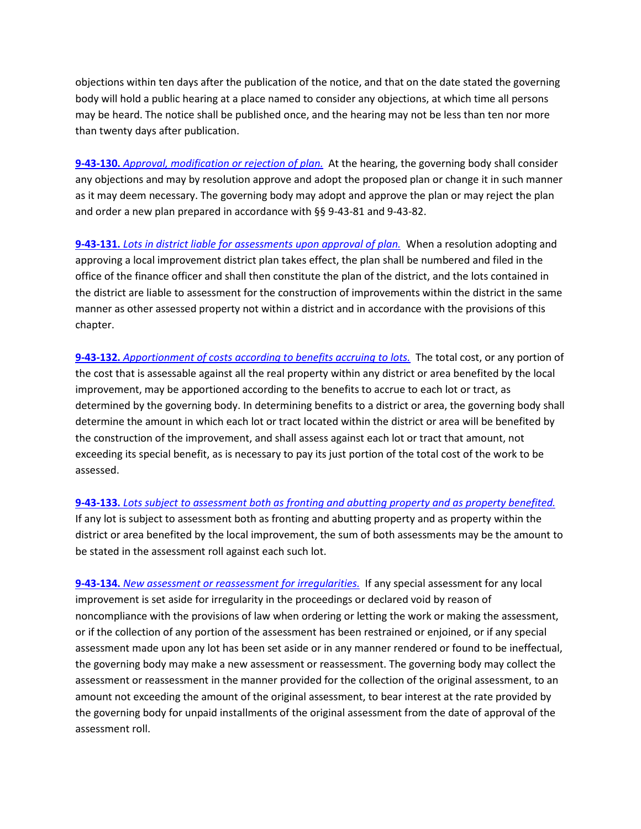objections within ten days after the publication of the notice, and that on the date stated the governing body will hold a public hearing at a place named to consider any objections, at which time all persons may be heard. The notice shall be published once, and the hearing may not be less than ten nor more than twenty days after publication.

**9-43-130.** *[Approval, modification or rejection of plan.](http://sdlegislature.gov/Statutes/Codified_Laws/DisplayStatute.aspx?Type=Statute&Statute=9-43-130)* At the hearing, the governing body shall consider any objections and may by resolution approve and adopt the proposed plan or change it in such manner as it may deem necessary. The governing body may adopt and approve the plan or may reject the plan and order a new plan prepared in accordance with §§ 9-43-81 and 9-43-82.

**9-43-131.** *[Lots in district liable for assessments upon approval of plan.](http://sdlegislature.gov/Statutes/Codified_Laws/DisplayStatute.aspx?Type=Statute&Statute=9-43-131)* When a resolution adopting and approving a local improvement district plan takes effect, the plan shall be numbered and filed in the office of the finance officer and shall then constitute the plan of the district, and the lots contained in the district are liable to assessment for the construction of improvements within the district in the same manner as other assessed property not within a district and in accordance with the provisions of this chapter.

**9-43-132.** *[Apportionment of costs according to benefits accruing to lots.](http://sdlegislature.gov/Statutes/Codified_Laws/DisplayStatute.aspx?Type=Statute&Statute=9-43-132)* The total cost, or any portion of the cost that is assessable against all the real property within any district or area benefited by the local improvement, may be apportioned according to the benefits to accrue to each lot or tract, as determined by the governing body. In determining benefits to a district or area, the governing body shall determine the amount in which each lot or tract located within the district or area will be benefited by the construction of the improvement, and shall assess against each lot or tract that amount, not exceeding its special benefit, as is necessary to pay its just portion of the total cost of the work to be assessed.

**9-43-133.** *[Lots subject to assessment both as fronting and abutting property and as property benefited.](http://sdlegislature.gov/Statutes/Codified_Laws/DisplayStatute.aspx?Type=Statute&Statute=9-43-133)* If any lot is subject to assessment both as fronting and abutting property and as property within the district or area benefited by the local improvement, the sum of both assessments may be the amount to be stated in the assessment roll against each such lot.

**9-43-134.** *[New assessment or reassessment for irregularities.](http://sdlegislature.gov/Statutes/Codified_Laws/DisplayStatute.aspx?Type=Statute&Statute=9-43-134)* If any special assessment for any local improvement is set aside for irregularity in the proceedings or declared void by reason of noncompliance with the provisions of law when ordering or letting the work or making the assessment, or if the collection of any portion of the assessment has been restrained or enjoined, or if any special assessment made upon any lot has been set aside or in any manner rendered or found to be ineffectual, the governing body may make a new assessment or reassessment. The governing body may collect the assessment or reassessment in the manner provided for the collection of the original assessment, to an amount not exceeding the amount of the original assessment, to bear interest at the rate provided by the governing body for unpaid installments of the original assessment from the date of approval of the assessment roll.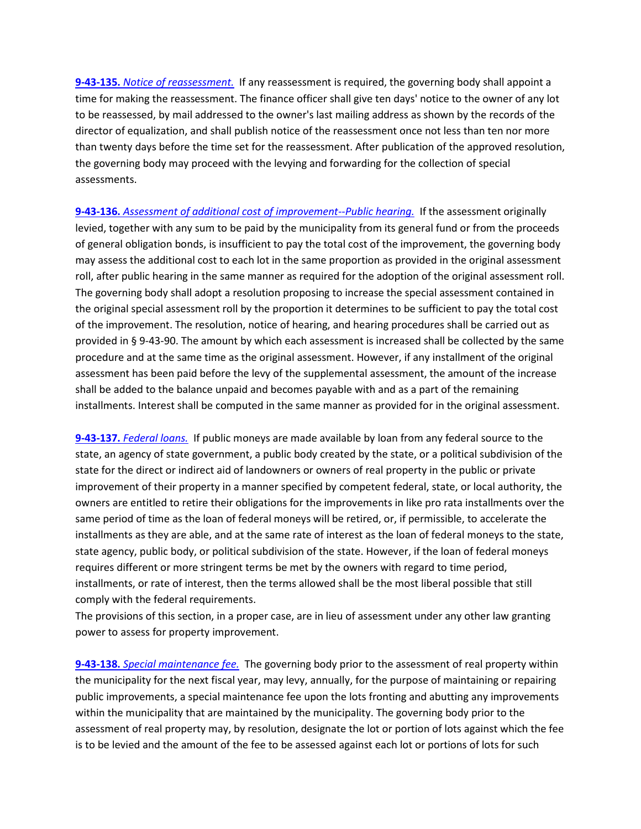**9-43-135.** *[Notice of reassessment.](http://sdlegislature.gov/Statutes/Codified_Laws/DisplayStatute.aspx?Type=Statute&Statute=9-43-135)* If any reassessment is required, the governing body shall appoint a time for making the reassessment. The finance officer shall give ten days' notice to the owner of any lot to be reassessed, by mail addressed to the owner's last mailing address as shown by the records of the director of equalization, and shall publish notice of the reassessment once not less than ten nor more than twenty days before the time set for the reassessment. After publication of the approved resolution, the governing body may proceed with the levying and forwarding for the collection of special assessments.

**9-43-136.** *[Assessment of additional cost of improvement--Public hearing.](http://sdlegislature.gov/Statutes/Codified_Laws/DisplayStatute.aspx?Type=Statute&Statute=9-43-136)* If the assessment originally levied, together with any sum to be paid by the municipality from its general fund or from the proceeds of general obligation bonds, is insufficient to pay the total cost of the improvement, the governing body may assess the additional cost to each lot in the same proportion as provided in the original assessment roll, after public hearing in the same manner as required for the adoption of the original assessment roll. The governing body shall adopt a resolution proposing to increase the special assessment contained in the original special assessment roll by the proportion it determines to be sufficient to pay the total cost of the improvement. The resolution, notice of hearing, and hearing procedures shall be carried out as provided in § 9-43-90. The amount by which each assessment is increased shall be collected by the same procedure and at the same time as the original assessment. However, if any installment of the original assessment has been paid before the levy of the supplemental assessment, the amount of the increase shall be added to the balance unpaid and becomes payable with and as a part of the remaining installments. Interest shall be computed in the same manner as provided for in the original assessment.

**9-43-137.** *[Federal loans.](http://sdlegislature.gov/Statutes/Codified_Laws/DisplayStatute.aspx?Type=Statute&Statute=9-43-137)* If public moneys are made available by loan from any federal source to the state, an agency of state government, a public body created by the state, or a political subdivision of the state for the direct or indirect aid of landowners or owners of real property in the public or private improvement of their property in a manner specified by competent federal, state, or local authority, the owners are entitled to retire their obligations for the improvements in like pro rata installments over the same period of time as the loan of federal moneys will be retired, or, if permissible, to accelerate the installments as they are able, and at the same rate of interest as the loan of federal moneys to the state, state agency, public body, or political subdivision of the state. However, if the loan of federal moneys requires different or more stringent terms be met by the owners with regard to time period, installments, or rate of interest, then the terms allowed shall be the most liberal possible that still comply with the federal requirements.

The provisions of this section, in a proper case, are in lieu of assessment under any other law granting power to assess for property improvement.

**9-43-138.** *[Special maintenance fee.](http://sdlegislature.gov/Statutes/Codified_Laws/DisplayStatute.aspx?Type=Statute&Statute=9-43-138)* The governing body prior to the assessment of real property within the municipality for the next fiscal year, may levy, annually, for the purpose of maintaining or repairing public improvements, a special maintenance fee upon the lots fronting and abutting any improvements within the municipality that are maintained by the municipality. The governing body prior to the assessment of real property may, by resolution, designate the lot or portion of lots against which the fee is to be levied and the amount of the fee to be assessed against each lot or portions of lots for such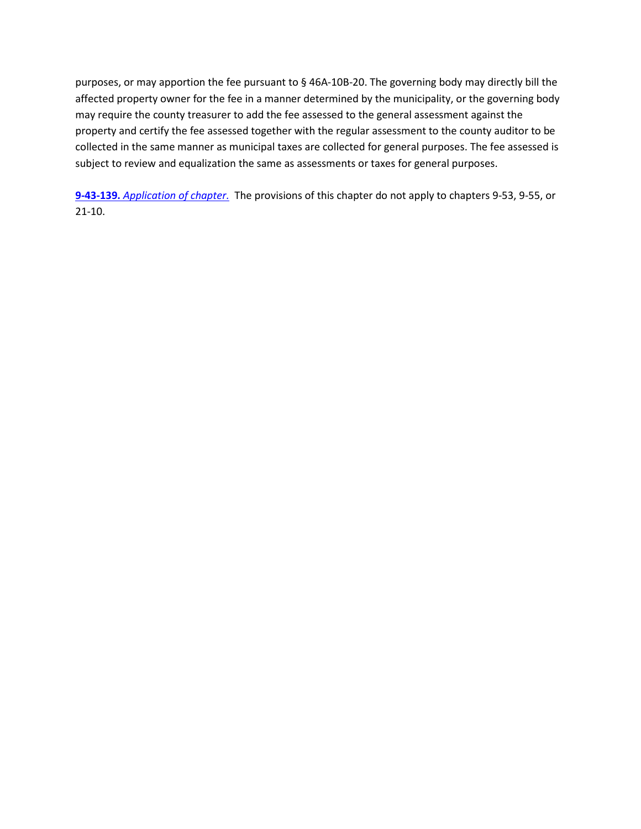purposes, or may apportion the fee pursuant to § 46A-10B-20. The governing body may directly bill the affected property owner for the fee in a manner determined by the municipality, or the governing body may require the county treasurer to add the fee assessed to the general assessment against the property and certify the fee assessed together with the regular assessment to the county auditor to be collected in the same manner as municipal taxes are collected for general purposes. The fee assessed is subject to review and equalization the same as assessments or taxes for general purposes.

**9-43-139.** *[Application of chapter.](http://sdlegislature.gov/Statutes/Codified_Laws/DisplayStatute.aspx?Type=Statute&Statute=9-43-139)* The provisions of this chapter do not apply to chapters 9-53, 9-55, or 21-10.